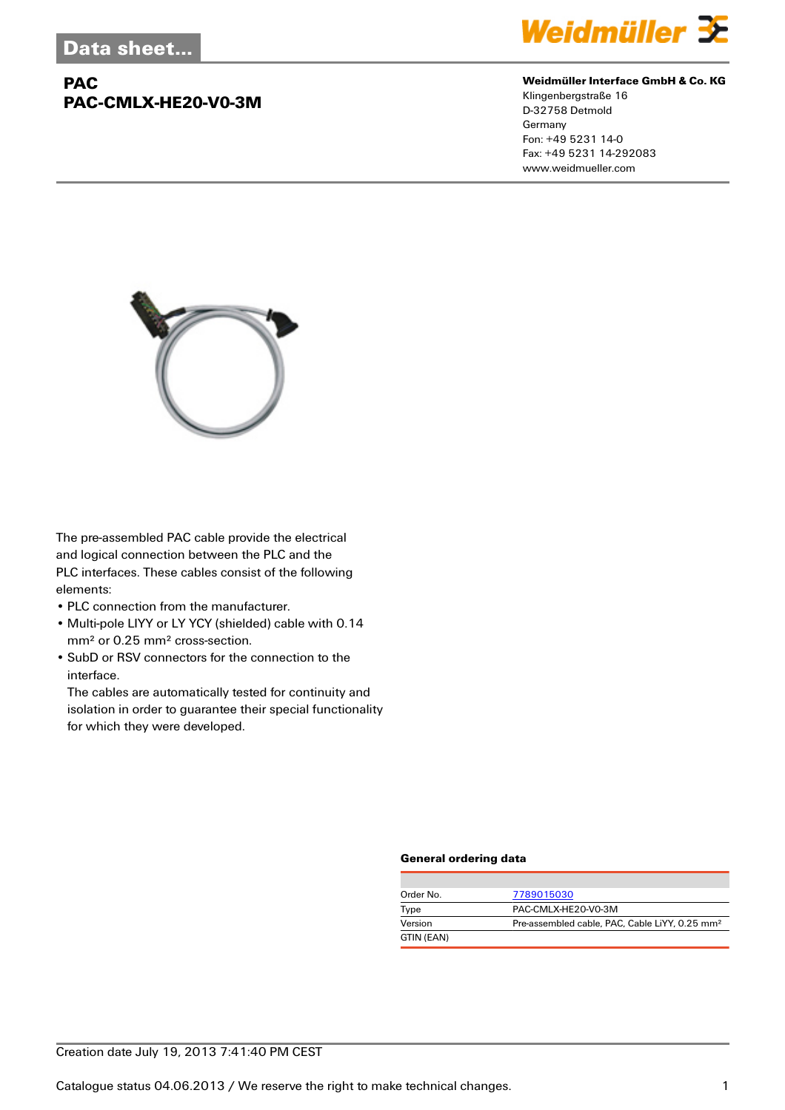## **PAC PAC-CMLX-HE20-V0-3M**



#### **Weidmüller Interface GmbH & Co. KG**

Klingenbergstraße 16 D-32758 Detmold Germany Fon: +49 5231 14-0 Fax: +49 5231 14-292083 www.weidmueller.com



The pre-assembled PAC cable provide the electrical and logical connection between the PLC and the PLC interfaces. These cables consist of the following elements:

- PLC connection from the manufacturer.
- Multi-pole LIYY or LY YCY (shielded) cable with 0.14 mm² or 0.25 mm² cross-section.
- SubD or RSV connectors for the connection to the interface.

The cables are automatically tested for continuity and isolation in order to guarantee their special functionality for which they were developed.

#### **General ordering data**

| Order No.  | 7789015030                                                 |
|------------|------------------------------------------------------------|
| Type       | PAC-CMLX-HE20-V0-3M                                        |
| Version    | Pre-assembled cable, PAC, Cable LiYY, 0.25 mm <sup>2</sup> |
| GTIN (EAN) |                                                            |